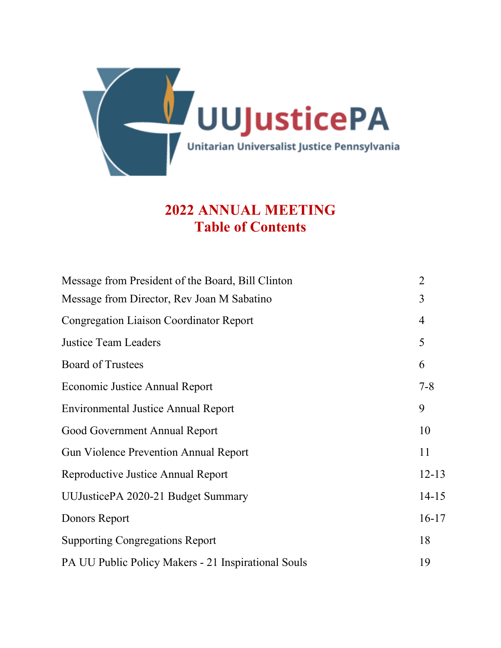

# **2022 ANNUAL MEETING Table of Contents**

| Message from President of the Board, Bill Clinton   | $\overline{2}$ |
|-----------------------------------------------------|----------------|
| Message from Director, Rev Joan M Sabatino          | 3              |
| <b>Congregation Liaison Coordinator Report</b>      | $\overline{4}$ |
| <b>Justice Team Leaders</b>                         | 5              |
| <b>Board of Trustees</b>                            | 6              |
| Economic Justice Annual Report                      | $7 - 8$        |
| <b>Environmental Justice Annual Report</b>          | 9              |
| Good Government Annual Report                       | 10             |
| <b>Gun Violence Prevention Annual Report</b>        | 11             |
| Reproductive Justice Annual Report                  | $12 - 13$      |
| UUJusticePA 2020-21 Budget Summary                  | $14 - 15$      |
| Donors Report                                       | $16-17$        |
| <b>Supporting Congregations Report</b>              | 18             |
| PA UU Public Policy Makers - 21 Inspirational Souls | 19             |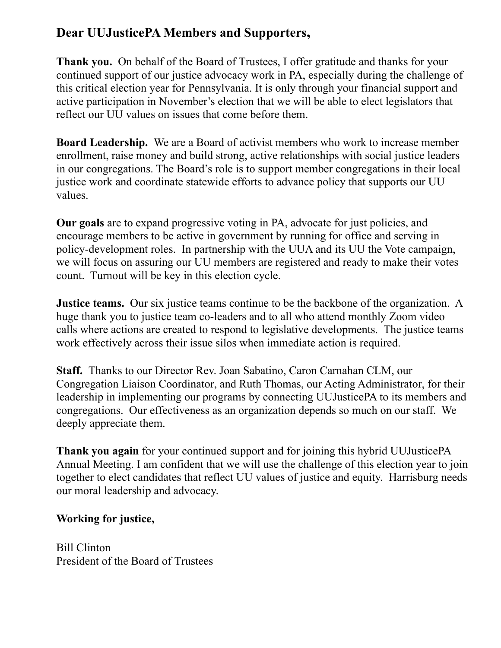# **Dear UUJusticePA Members and Supporters,**

**Thank you.** On behalf of the Board of Trustees, I offer gratitude and thanks for your continued support of our justice advocacy work in PA, especially during the challenge of this critical election year for Pennsylvania. It is only through your financial support and active participation in November's election that we will be able to elect legislators that reflect our UU values on issues that come before them.

**Board Leadership.** We are a Board of activist members who work to increase member enrollment, raise money and build strong, active relationships with social justice leaders in our congregations. The Board's role is to support member congregations in their local justice work and coordinate statewide efforts to advance policy that supports our UU values.

**Our goals** are to expand progressive voting in PA, advocate for just policies, and encourage members to be active in government by running for office and serving in policy-development roles. In partnership with the UUA and its UU the Vote campaign, we will focus on assuring our UU members are registered and ready to make their votes count. Turnout will be key in this election cycle.

**Justice teams.** Our six justice teams continue to be the backbone of the organization. A huge thank you to justice team co-leaders and to all who attend monthly Zoom video calls where actions are created to respond to legislative developments. The justice teams work effectively across their issue silos when immediate action is required.

**Staff.** Thanks to our Director Rev. Joan Sabatino, Caron Carnahan CLM, our Congregation Liaison Coordinator, and Ruth Thomas, our Acting Administrator, for their leadership in implementing our programs by connecting UUJusticePA to its members and congregations. Our effectiveness as an organization depends so much on our staff. We deeply appreciate them.

**Thank you again** for your continued support and for joining this hybrid UUJusticePA Annual Meeting. I am confident that we will use the challenge of this election year to join together to elect candidates that reflect UU values of justice and equity. Harrisburg needs our moral leadership and advocacy.

# **Working for justice,**

Bill Clinton President of the Board of Trustees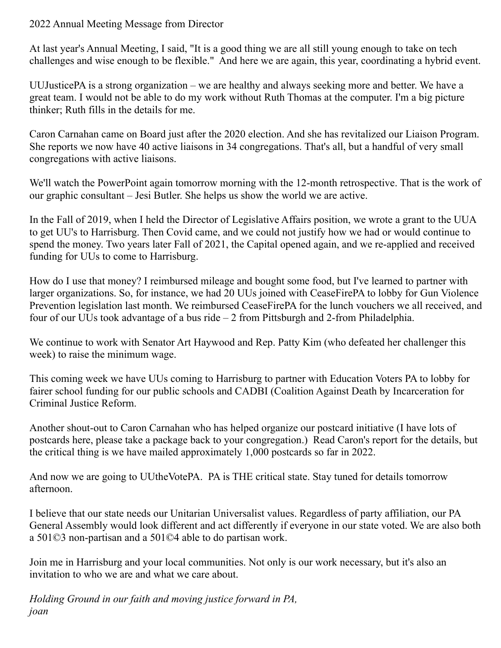## 2022 Annual Meeting Message from Director

At last year's Annual Meeting, I said, "It is a good thing we are all still young enough to take on tech challenges and wise enough to be flexible." And here we are again, this year, coordinating a hybrid event.

UUJusticePA is a strong organization – we are healthy and always seeking more and better. We have a great team. I would not be able to do my work without Ruth Thomas at the computer. I'm a big picture thinker; Ruth fills in the details for me.

Caron Carnahan came on Board just after the 2020 election. And she has revitalized our Liaison Program. She reports we now have 40 active liaisons in 34 congregations. That's all, but a handful of very small congregations with active liaisons.

We'll watch the PowerPoint again tomorrow morning with the 12-month retrospective. That is the work of our graphic consultant – Jesi Butler. She helps us show the world we are active.

In the Fall of 2019, when I held the Director of Legislative Affairs position, we wrote a grant to the UUA to get UU's to Harrisburg. Then Covid came, and we could not justify how we had or would continue to spend the money. Two years later Fall of 2021, the Capital opened again, and we re-applied and received funding for UUs to come to Harrisburg.

How do I use that money? I reimbursed mileage and bought some food, but I've learned to partner with larger organizations. So, for instance, we had 20 UUs joined with CeaseFirePA to lobby for Gun Violence Prevention legislation last month. We reimbursed CeaseFirePA for the lunch vouchers we all received, and four of our UUs took advantage of a bus ride – 2 from Pittsburgh and 2-from Philadelphia.

We continue to work with Senator Art Haywood and Rep. Patty Kim (who defeated her challenger this week) to raise the minimum wage.

This coming week we have UUs coming to Harrisburg to partner with Education Voters PA to lobby for fairer school funding for our public schools and CADBI (Coalition Against Death by Incarceration for Criminal Justice Reform.

Another shout-out to Caron Carnahan who has helped organize our postcard initiative (I have lots of postcards here, please take a package back to your congregation.) Read Caron's report for the details, but the critical thing is we have mailed approximately 1,000 postcards so far in 2022.

And now we are going to UUtheVotePA. PA is THE critical state. Stay tuned for details tomorrow afternoon.

I believe that our state needs our Unitarian Universalist values. Regardless of party affiliation, our PA General Assembly would look different and act differently if everyone in our state voted. We are also both a 501©3 non-partisan and a 501©4 able to do partisan work.

Join me in Harrisburg and your local communities. Not only is our work necessary, but it's also an invitation to who we are and what we care about.

*Holding Ground in our faith and moving justice forward in PA, joan*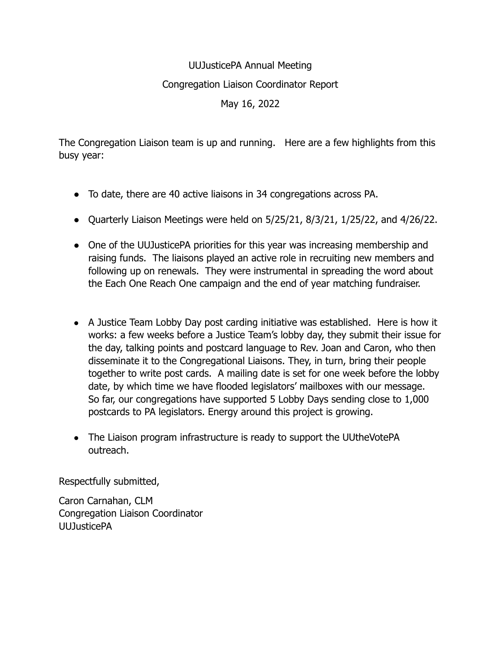# UUJusticePA Annual Meeting Congregation Liaison Coordinator Report May 16, 2022

The Congregation Liaison team is up and running. Here are a few highlights from this busy year:

- To date, there are 40 active liaisons in 34 congregations across PA.
- Quarterly Liaison Meetings were held on  $5/25/21$ ,  $8/3/21$ ,  $1/25/22$ , and  $4/26/22$ .
- One of the UUJusticePA priorities for this year was increasing membership and raising funds. The liaisons played an active role in recruiting new members and following up on renewals. They were instrumental in spreading the word about the Each One Reach One campaign and the end of year matching fundraiser.
- A Justice Team Lobby Day post carding initiative was established. Here is how it works: a few weeks before a Justice Team's lobby day, they submit their issue for the day, talking points and postcard language to Rev. Joan and Caron, who then disseminate it to the Congregational Liaisons. They, in turn, bring their people together to write post cards. A mailing date is set for one week before the lobby date, by which time we have flooded legislators' mailboxes with our message. So far, our congregations have supported 5 Lobby Days sending close to 1,000 postcards to PA legislators. Energy around this project is growing.
- The Liaison program infrastructure is ready to support the UUtheVotePA outreach.

Respectfully submitted,

Caron Carnahan, CLM Congregation Liaison Coordinator UUJusticePA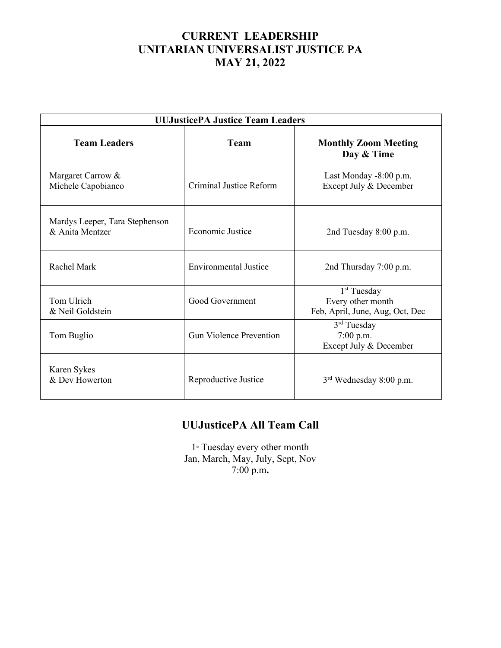# **CURRENT LEADERSHIP UNITARIAN UNIVERSALIST JUSTICE PA MAY 21, 2022**

| <b>UUJusticePA Justice Team Leaders</b>           |                                |                                                                                 |  |
|---------------------------------------------------|--------------------------------|---------------------------------------------------------------------------------|--|
| <b>Team Leaders</b>                               | <b>Team</b>                    | <b>Monthly Zoom Meeting</b><br>Day & Time                                       |  |
| Margaret Carrow &<br>Michele Capobianco           | Criminal Justice Reform        | Last Monday -8:00 p.m.<br>Except July & December                                |  |
| Mardys Leeper, Tara Stephenson<br>& Anita Mentzer | Economic Justice               | 2nd Tuesday 8:00 p.m.                                                           |  |
| Rachel Mark                                       | <b>Environmental Justice</b>   | 2nd Thursday 7:00 p.m.                                                          |  |
| Tom Ulrich<br>& Neil Goldstein                    | Good Government                | 1 <sup>st</sup> Tuesday<br>Every other month<br>Feb, April, June, Aug, Oct, Dec |  |
| Tom Buglio                                        | <b>Gun Violence Prevention</b> | 3 <sup>rd</sup> Tuesday<br>7:00 p.m.<br>Except July & December                  |  |
| Karen Sykes<br>& Dev Howerton                     | Reproductive Justice           | $3rd$ Wednesday 8:00 p.m.                                                       |  |

# **UUJusticePA All Team Call**

1<sup>st</sup> Tuesday every other month Jan, March, May, July, Sept, Nov 7:00 p.m**.**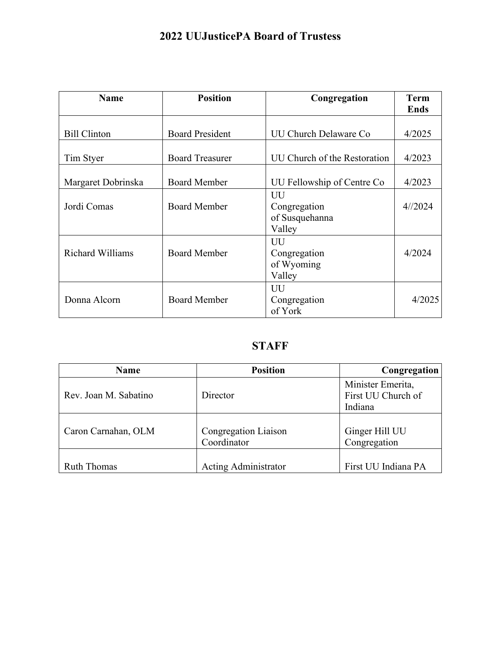# **2022 UUJusticePA Board of Trustess**

| <b>Name</b>             | <b>Position</b>        | Congregation                                   | <b>Term</b><br><b>Ends</b> |
|-------------------------|------------------------|------------------------------------------------|----------------------------|
| <b>Bill Clinton</b>     | <b>Board President</b> | UU Church Delaware Co                          | 4/2025                     |
| Tim Styer               | <b>Board Treasurer</b> | UU Church of the Restoration                   | 4/2023                     |
| Margaret Dobrinska      | <b>Board Member</b>    | UU Fellowship of Centre Co                     | 4/2023                     |
| Jordi Comas             | <b>Board Member</b>    | UU<br>Congregation<br>of Susquehanna<br>Valley | 4/2024                     |
| <b>Richard Williams</b> | <b>Board Member</b>    | UU<br>Congregation<br>of Wyoming<br>Valley     | 4/2024                     |
| Donna Alcorn            | <b>Board Member</b>    | UU<br>Congregation<br>of York                  | 4/2025                     |

# **STAFF**

| <b>Name</b>           | <b>Position</b>             | Congregation        |
|-----------------------|-----------------------------|---------------------|
|                       |                             | Minister Emerita,   |
| Rev. Joan M. Sabatino | Director                    | First UU Church of  |
|                       |                             | Indiana             |
|                       |                             |                     |
| Caron Carnahan, OLM   | Congregation Liaison        | Ginger Hill UU      |
|                       | Coordinator                 | Congregation        |
|                       |                             |                     |
| <b>Ruth Thomas</b>    | <b>Acting Administrator</b> | First UU Indiana PA |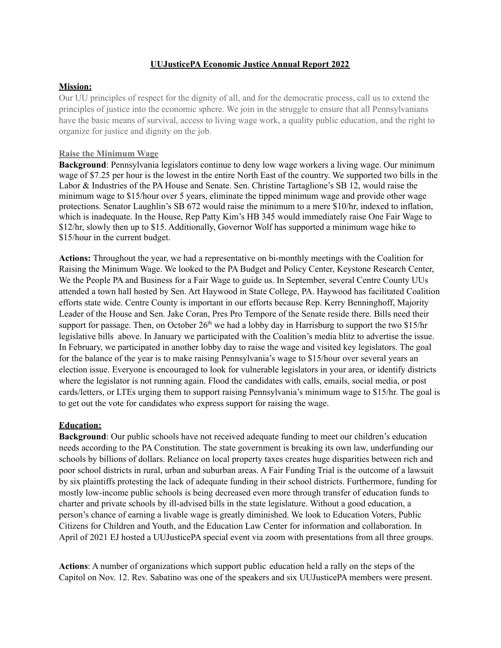#### **UUJusticePA Economic Justice Annual Report 2022**

#### **Mission:**

Our UU principles of respect for the dignity of all, and for the democratic process, call us to extend the principles of justice into the economic sphere. We join in the struggle to ensure that all Pennsylvanians have the basic means of survival, access to living wage work, a quality public education, and the right to organize for justice and dignity on the job.

#### **Raise the Minimum Wage**

**Background**: Pennsylvania legislators continue to deny low wage workers a living wage. Our minimum wage of \$7.25 per hour is the lowest in the entire North East of the country. We supported two bills in the Labor & Industries of the PA House and Senate. Sen. Christine Tartaglione's SB 12, would raise the minimum wage to \$15/hour over 5 years, eliminate the tipped minimum wage and provide other wage protections. Senator Laughlin's SB 672 would raise the minimum to a mere \$10/hr, indexed to inflation, which is inadequate. In the House, Rep Patty Kim's HB 345 would immediately raise One Fair Wage to \$12/hr, slowly then up to \$15. Additionally, Governor Wolf has supported a minimum wage hike to \$15/hour in the current budget.

**Actions:** Throughout the year, we had a representative on bi-monthly meetings with the Coalition for Raising the Minimum Wage. We looked to the PA Budget and Policy Center, Keystone Research Center, We the People PA and Business for a Fair Wage to guide us. In September, several Centre County UUs attended a town hall hosted by Sen. Art Haywood in State College, PA. Haywood has facilitated Coalition efforts state wide. Centre County is important in our efforts because Rep. Kerry Benninghoff, Majority Leader of the House and Sen. Jake Coran, Pres Pro Tempore of the Senate reside there. Bills need their support for passage. Then, on October  $26<sup>th</sup>$  we had a lobby day in Harrisburg to support the two \$15/hr legislative bills above. In January we participated with the Coalition's media blitz to advertise the issue. In February, we participated in another lobby day to raise the wage and visited key legislators. The goal for the balance of the year is to make raising Pennsylvania's wage to \$15/hour over several years an election issue. Everyone is encouraged to look for vulnerable legislators in your area, or identify districts where the legislator is not running again. Flood the candidates with calls, emails, social media, or post cards/letters, or LTEs urging them to support raising Pennsylvania's minimum wage to \$15/hr. The goal is to get out the vote for candidates who express support for raising the wage.

#### **Education:**

**Background**: Our public schools have not received adequate funding to meet our children's education needs according to the PA Constitution. The state government is breaking its own law, underfunding our schools by billions of dollars. Reliance on local property taxes creates huge disparities between rich and poor school districts in rural, urban and suburban areas. A Fair Funding Trial is the outcome of a lawsuit by six plaintiffs protesting the lack of adequate funding in their school districts. Furthermore, funding for mostly low-income public schools is being decreased even more through transfer of education funds to charter and private schools by ill-advised bills in the state legislature. Without a good education, a person's chance of earning a livable wage is greatly diminished. We look to Education Voters, Public Citizens for Children and Youth, and the Education Law Center for information and collaboration. In April of 2021 EJ hosted a UUJusticePA special event via zoom with presentations from all three groups.

**Actions**: A number of organizations which support public education held a rally on the steps of the Capitol on Nov. 12. Rev. Sabatino was one of the speakers and six UUJusticePA members were present.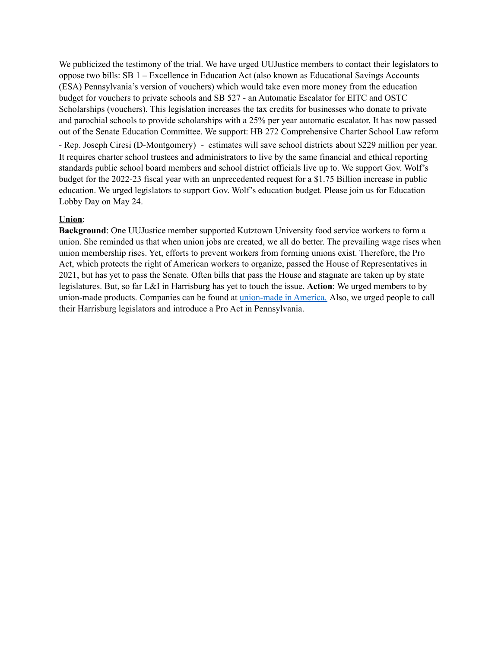We publicized the testimony of the trial. We have urged UUJustice members to contact their legislators to oppose two bills: SB 1 – Excellence in Education Act (also known as Educational Savings Accounts (ESA) Pennsylvania's version of vouchers) which would take even more money from the education budget for vouchers to private schools and SB 527 - an Automatic Escalator for EITC and OSTC Scholarships (vouchers). This legislation increases the tax credits for businesses who donate to private and parochial schools to provide scholarships with a 25% per year automatic escalator. It has now passed out of the Senate Education Committee. We support: HB 272 Comprehensive Charter School Law reform - Rep. Joseph Ciresi (D-Montgomery) - estimates will save school districts about \$229 million per year. It requires charter school trustees and administrators to live by the same financial and ethical reporting standards public school board members and school district officials live up to. We support Gov. Wolf's budget for the 2022-23 fiscal year with an unprecedented request for a \$1.75 Billion increase in public education. We urged legislators to support Gov. Wolf's education budget. Please join us for Education Lobby Day on May 24.

#### **Union**:

**Background**: One UUJustice member supported Kutztown University food service workers to form a union. She reminded us that when union jobs are created, we all do better. The prevailing wage rises when union membership rises. Yet, efforts to prevent workers from forming unions exist. Therefore, the Pro Act, which protects the right of American workers to organize, passed the House of Representatives in 2021, but has yet to pass the Senate. Often bills that pass the House and stagnate are taken up by state legislatures. But, so far L&I in Harrisburg has yet to touch the issue. **Action**: We urged members to by union-made products. Companies can be found at [union-made](https://aflcio.org/MadeInAmerica) in America. Also, we urged people to call their Harrisburg legislators and introduce a Pro Act in Pennsylvania.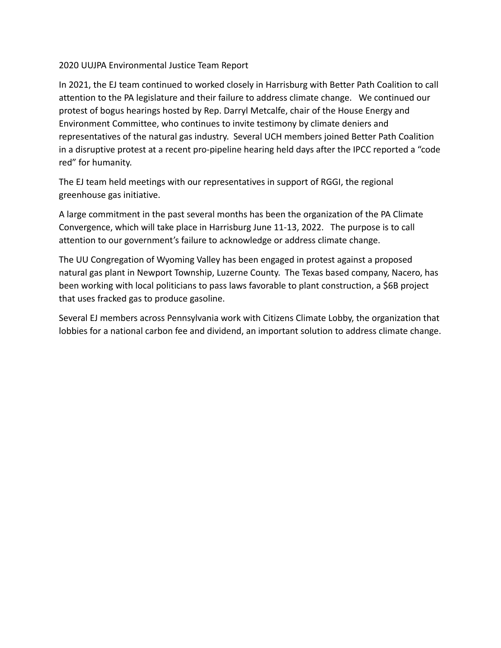## 2020 UUJPA Environmental Justice Team Report

In 2021, the EJ team continued to worked closely in Harrisburg with Better Path Coalition to call attention to the PA legislature and their failure to address climate change. We continued our protest of bogus hearings hosted by Rep. Darryl Metcalfe, chair of the House Energy and Environment Committee, who continues to invite testimony by climate deniers and representatives of the natural gas industry. Several UCH members joined Better Path Coalition in a disruptive protest at a recent pro-pipeline hearing held days after the IPCC reported a "code red" for humanity.

The EJ team held meetings with our representatives in support of RGGI, the regional greenhouse gas initiative.

A large commitment in the past several months has been the organization of the PA Climate Convergence, which will take place in Harrisburg June 11-13, 2022. The purpose is to call attention to our government's failure to acknowledge or address climate change.

The UU Congregation of Wyoming Valley has been engaged in protest against a proposed natural gas plant in Newport Township, Luzerne County. The Texas based company, Nacero, has been working with local politicians to pass laws favorable to plant construction, a \$6B project that uses fracked gas to produce gasoline.

Several EJ members across Pennsylvania work with Citizens Climate Lobby, the organization that lobbies for a national carbon fee and dividend, an important solution to address climate change.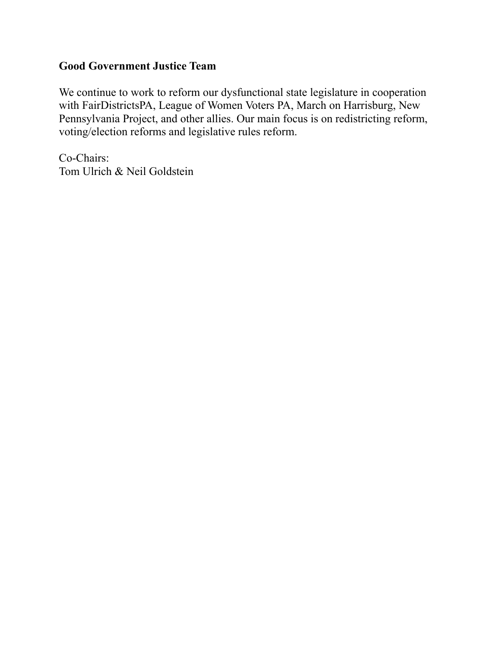# **Good Government Justice Team**

We continue to work to reform our dysfunctional state legislature in cooperation with FairDistrictsPA, League of Women Voters PA, March on Harrisburg, New Pennsylvania Project, and other allies. Our main focus is on redistricting reform, voting/election reforms and legislative rules reform.

Co-Chairs: Tom Ulrich & Neil Goldstein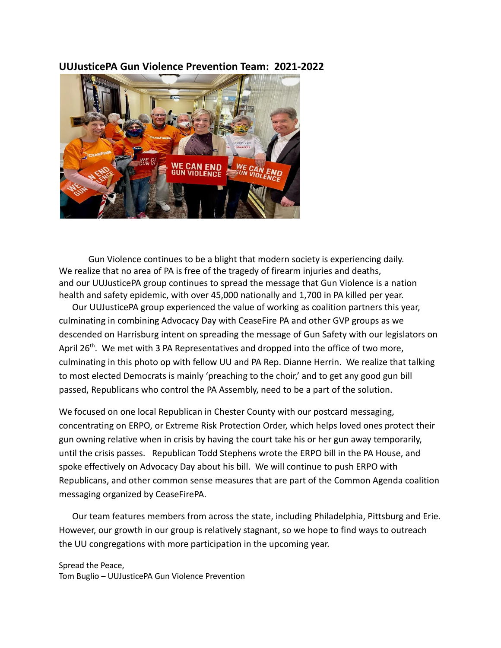## **UUJusticePA Gun Violence Prevention Team: 2021-2022**



Gun Violence continues to be a blight that modern society is experiencing daily. We realize that no area of PA is free of the tragedy of firearm injuries and deaths, and our UUJusticePA group continues to spread the message that Gun Violence is a nation health and safety epidemic, with over 45,000 nationally and 1,700 in PA killed per year.

Our UUJusticePA group experienced the value of working as coalition partners this year, culminating in combining Advocacy Day with CeaseFire PA and other GVP groups as we descended on Harrisburg intent on spreading the message of Gun Safety with our legislators on April 26<sup>th</sup>. We met with 3 PA Representatives and dropped into the office of two more, culminating in this photo op with fellow UU and PA Rep. Dianne Herrin. We realize that talking to most elected Democrats is mainly 'preaching to the choir,' and to get any good gun bill passed, Republicans who control the PA Assembly, need to be a part of the solution.

We focused on one local Republican in Chester County with our postcard messaging, concentrating on ERPO, or Extreme Risk Protection Order, which helps loved ones protect their gun owning relative when in crisis by having the court take his or her gun away temporarily, until the crisis passes. Republican Todd Stephens wrote the ERPO bill in the PA House, and spoke effectively on Advocacy Day about his bill. We will continue to push ERPO with Republicans, and other common sense measures that are part of the Common Agenda coalition messaging organized by CeaseFirePA.

Our team features members from across the state, including Philadelphia, Pittsburg and Erie. However, our growth in our group is relatively stagnant, so we hope to find ways to outreach the UU congregations with more participation in the upcoming year.

Spread the Peace, Tom Buglio – UUJusticePA Gun Violence Prevention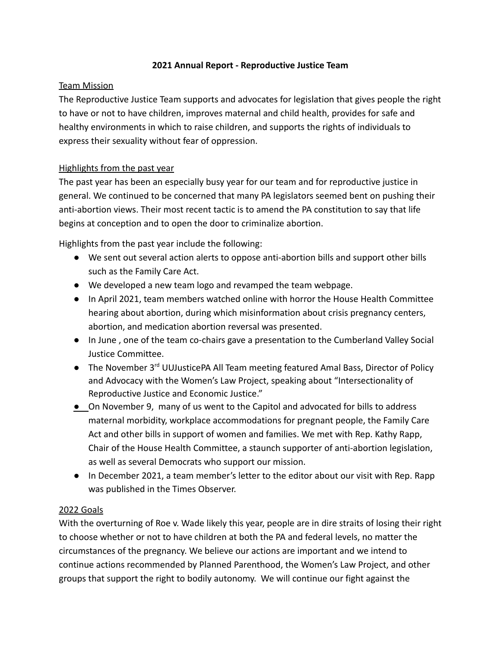## **2021 Annual Report - Reproductive Justice Team**

## Team Mission

The Reproductive Justice Team supports and advocates for legislation that gives people the right to have or not to have children, improves maternal and child health, provides for safe and healthy environments in which to raise children, and supports the rights of individuals to express their sexuality without fear of oppression.

## Highlights from the past year

The past year has been an especially busy year for our team and for reproductive justice in general. We continued to be concerned that many PA legislators seemed bent on pushing their anti-abortion views. Their most recent tactic is to amend the PA constitution to say that life begins at conception and to open the door to criminalize abortion.

Highlights from the past year include the following:

- We sent out several action alerts to oppose anti-abortion bills and support other bills such as the Family Care Act.
- We developed a new team logo and revamped the team webpage.
- In April 2021, team members watched online with horror the House Health Committee hearing about abortion, during which misinformation about crisis pregnancy centers, abortion, and medication abortion reversal was presented.
- In June , one of the team co-chairs gave a presentation to the Cumberland Valley Social Justice Committee.
- The November 3<sup>rd</sup> UUJusticePA All Team meeting featured Amal Bass, Director of Policy and Advocacy with the Women's Law Project, speaking about "Intersectionality of Reproductive Justice and Economic Justice."
- On November 9, many of us went to the Capitol and advocated for bills to address maternal morbidity, workplace accommodations for pregnant people, the Family Care Act and other bills in support of women and families. We met with Rep. Kathy Rapp, Chair of the House Health Committee, a staunch supporter of anti-abortion legislation, as well as several Democrats who support our mission.
- In December 2021, a team member's letter to the editor about our visit with Rep. Rapp was published in the Times Observer.

### 2022 Goals

With the overturning of Roe v. Wade likely this year, people are in dire straits of losing their right to choose whether or not to have children at both the PA and federal levels, no matter the circumstances of the pregnancy. We believe our actions are important and we intend to continue actions recommended by Planned Parenthood, the Women's Law Project, and other groups that support the right to bodily autonomy. We will continue our fight against the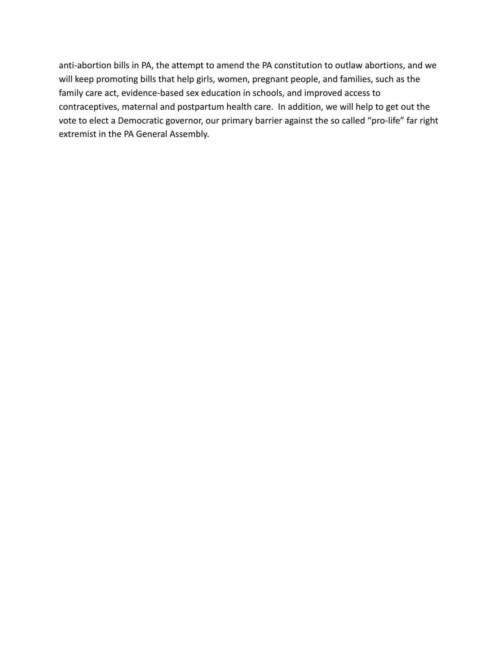anti-abortion bills in PA, the attempt to amend the PA constitution to outlaw abortions, and we will keep promoting bills that help girls, women, pregnant people, and families, such as the family care act, evidence-based sex education in schools, and improved access to contraceptives, maternal and postpartum health care. In addition, we will help to get out the vote to elect a Democratic governor, our primary barrier against the so called "pro-life" far right extremist in the PA General Assembly.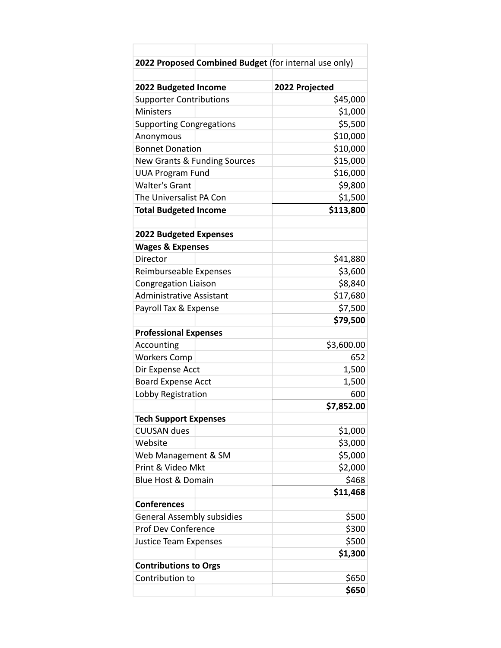| 2022 Proposed Combined Budget (for internal use only) |                |
|-------------------------------------------------------|----------------|
|                                                       |                |
| 2022 Budgeted Income                                  | 2022 Projected |
| <b>Supporter Contributions</b>                        | \$45,000       |
| <b>Ministers</b>                                      | \$1,000        |
| <b>Supporting Congregations</b>                       | \$5,500        |
| Anonymous                                             | \$10,000       |
| <b>Bonnet Donation</b>                                | \$10,000       |
| <b>New Grants &amp; Funding Sources</b>               | \$15,000       |
| <b>UUA Program Fund</b>                               | \$16,000       |
| <b>Walter's Grant</b>                                 | \$9,800        |
| The Universalist PA Con                               | \$1,500        |
| <b>Total Budgeted Income</b>                          | \$113,800      |
|                                                       |                |
| <b>2022 Budgeted Expenses</b>                         |                |
| <b>Wages &amp; Expenses</b>                           |                |
| Director                                              | \$41,880       |
| Reimburseable Expenses                                | \$3,600        |
| <b>Congregation Liaison</b>                           | \$8,840        |
| <b>Administrative Assistant</b>                       | \$17,680       |
| Payroll Tax & Expense                                 | \$7,500        |
|                                                       | \$79,500       |
| <b>Professional Expenses</b>                          |                |
| Accounting                                            | \$3,600.00     |
| <b>Workers Comp</b>                                   | 652            |
| Dir Expense Acct                                      | 1,500          |
| <b>Board Expense Acct</b>                             | 1,500          |
| Lobby Registration                                    | 600            |
|                                                       | \$7,852.00     |
| <b>Tech Support Expenses</b>                          |                |
| <b>CUUSAN dues</b>                                    | \$1,000        |
| Website                                               | \$3,000        |
| Web Management & SM                                   | \$5,000        |
| Print & Video Mkt                                     | \$2,000        |
| Blue Host & Domain                                    | \$468          |
|                                                       | \$11,468       |
| <b>Conferences</b>                                    |                |
| <b>General Assembly subsidies</b>                     | \$500          |
| <b>Prof Dev Conference</b>                            | \$300          |
| <b>Justice Team Expenses</b>                          | \$500          |
|                                                       | \$1,300        |
| <b>Contributions to Orgs</b>                          |                |
| Contribution to                                       | \$650          |
|                                                       | \$650          |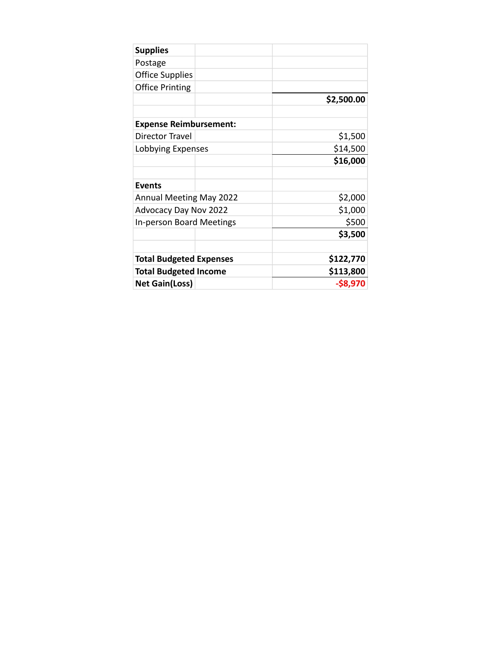| <b>Supplies</b>                |  |             |
|--------------------------------|--|-------------|
| Postage                        |  |             |
| <b>Office Supplies</b>         |  |             |
| <b>Office Printing</b>         |  |             |
|                                |  | \$2,500.00  |
|                                |  |             |
| <b>Expense Reimbursement:</b>  |  |             |
| Director Travel                |  | \$1,500     |
| Lobbying Expenses              |  | \$14,500    |
|                                |  | \$16,000    |
|                                |  |             |
| <b>Events</b>                  |  |             |
| <b>Annual Meeting May 2022</b> |  | \$2,000     |
| Advocacy Day Nov 2022          |  | \$1,000     |
| In-person Board Meetings       |  | \$500       |
|                                |  | \$3,500     |
|                                |  |             |
| <b>Total Budgeted Expenses</b> |  | \$122,770   |
| <b>Total Budgeted Income</b>   |  | \$113,800   |
| <b>Net Gain(Loss)</b>          |  | $-$ \$8,970 |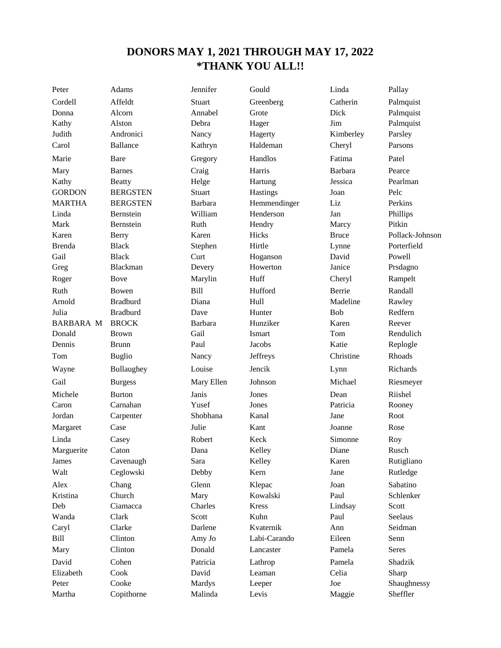## **DONORS MAY 1, 2021 THROUGH MAY 17, 2022 \*THANK YOU ALL!!**

Cordell Affeldt Stuart Greenberg Catherin Palmquist Donna Alcorn Annabel Grote Dick Palmquist Kathy Alston Debra Hager Jim Palmquist Judith Andronici Nancy Hagerty Kimberley Parsley Carol Ballance Kathryn Haldeman Cheryl Parsons Marie Bare Gregory Handlos Fatima Patel Mary Barnes Craig Harris Barbara Pearce Kathy Beatty Helge Hartung Jessica Pearlman GORDON BERGSTEN Stuart Hastings Joan Pelc MARTHA BERGSTEN Barbara Hemmendinger Liz Perkins Linda Bernstein William Henderson Jan Phillips Mark Bernstein Ruth Hendry Marcy Pitkin Karen Berry Karen Hicks Bruce Pollack-Johnson Brenda Black Stephen Hirtle Lynne Porterfield Gail Black Curt Hoganson David Powell Greg Blackman Devery Howerton Janice Prsdagno Roger Bove Marylin Huff Cheryl Rampelt Ruth Bowen Bill Hufford Berrie Randall Arnold Bradburd Diana Hull Madeline Rawley Julia Bradburd Dave Hunter Bob Redfern BARBARA M BROCK Barbara Hunziker Karen Reever Donald Brown Gail Ismart Tom Rendulich Dennis Brunn Paul Jacobs Katie Replogle Tom Buglio Nancy Jeffreys Christine Rhoads Wayne Bullaughey Louise Jencik Lynn Richards Gail Burgess Mary Ellen Johnson Michael Riesmeyer Michele Burton Janis Jones Dean Riishel Caron Carnahan Yusef Jones Patricia Rooney Jordan Carpenter Shobhana Kanal Jane Root Margaret Case Julie Kant Joanne Rose Linda Casey Robert Keck Simonne Roy Marguerite Caton Dana Kelley Diane Rusch James Cavenaugh Sara Kelley Karen Rutigliano Walt Ceglowski Debby Kern Jane Rutledge Alex Chang Glenn Klepac Joan Sabatino Kristina Church Mary Kowalski Paul Schlenker Deb Ciamacca Charles Kress Lindsay Scott Wanda Clark Scott Kuhn Paul Seelaus Caryl Clarke Darlene Kvaternik Ann Seidman Bill Clinton Amy Jo Labi-Carando Eileen Senn Mary Clinton Donald Lancaster Pamela Seres David Cohen Patricia Lathrop Pamela Shadzik Elizabeth Cook David Leaman Celia Sharp Peter Cooke Mardys Leeper Joe Shaughnessy

Peter Adams Jennifer Gould Linda Pallay

Martha Copithorne Malinda Levis Maggie Sheffler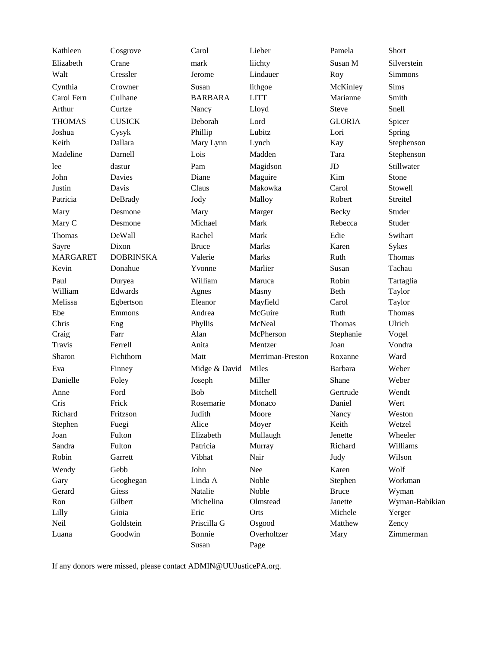| Kathleen        | Cosgrove         | Carol          | Lieber           | Pamela        | Short          |
|-----------------|------------------|----------------|------------------|---------------|----------------|
| Elizabeth       | Crane            | mark           | liichty          | Susan M       | Silverstein    |
| Walt            | Cressler         | Jerome         | Lindauer         | Roy           | Simmons        |
| Cynthia         | Crowner          | Susan          | lithgoe          | McKinley      | <b>Sims</b>    |
| Carol Fern      | Culhane          | <b>BARBARA</b> | <b>LITT</b>      | Marianne      | Smith          |
| Arthur          | Curtze           | Nancy          | Lloyd            | <b>Steve</b>  | Snell          |
| <b>THOMAS</b>   | <b>CUSICK</b>    | Deborah        | Lord             | <b>GLORIA</b> | Spicer         |
| Joshua          | Cysyk            | Phillip        | Lubitz           | Lori          | Spring         |
| Keith           | Dallara          | Mary Lynn      | Lynch            | Kay           | Stephenson     |
| Madeline        | Darnell          | Lois           | Madden           | Tara          | Stephenson     |
| lee             | dastur           | Pam            | Magidson         | JD            | Stillwater     |
| John            | Davies           | Diane          | Maguire          | Kim           | Stone          |
| Justin          | Davis            | Claus          | Makowka          | Carol         | Stowell        |
| Patricia        | DeBrady          | Jody           | Malloy           | Robert        | Streitel       |
| Mary            | Desmone          | Mary           | Marger           | <b>Becky</b>  | Studer         |
| Mary C          | Desmone          | Michael        | Mark             | Rebecca       | Studer         |
| Thomas          | DeWall           | Rachel         | Mark             | Edie          | Swihart        |
| Sayre           | Dixon            | <b>Bruce</b>   | Marks            | Karen         | Sykes          |
| <b>MARGARET</b> | <b>DOBRINSKA</b> | Valerie        | <b>Marks</b>     | Ruth          | Thomas         |
| Kevin           | Donahue          | Yvonne         | Marlier          | Susan         | Tachau         |
| Paul            | Duryea           | William        | Maruca           | Robin         | Tartaglia      |
| William         | Edwards          | Agnes          | Masny            | Beth          | Taylor         |
| Melissa         | Egbertson        | Eleanor        | Mayfield         | Carol         | Taylor         |
| Ebe             | Emmons           | Andrea         | McGuire          | Ruth          | Thomas         |
| Chris           | Eng              | Phyllis        | McNeal           | Thomas        | Ulrich         |
| Craig           | Farr             | Alan           | McPherson        | Stephanie     | Vogel          |
| <b>Travis</b>   | Ferrell          | Anita          | Mentzer          | Joan          | Vondra         |
| Sharon          | Fichthorn        | Matt           | Merriman-Preston | Roxanne       | Ward           |
| Eva             | Finney           | Midge & David  | Miles            | Barbara       | Weber          |
| Danielle        | Foley            | Joseph         | Miller           | Shane         | Weber          |
| Anne            | Ford             | <b>Bob</b>     | Mitchell         | Gertrude      | Wendt          |
| Cris            | Frick            | Rosemarie      | Monaco           | Daniel        | Wert           |
| Richard         | Fritzson         | Judith         | Moore            | Nancy         | Weston         |
| Stephen         | Fuegi            | Alice          | Moyer            | Keith         | Wetzel         |
| Joan            | Fulton           | Elizabeth      | Mullaugh         | Jenette       | Wheeler        |
| Sandra          | Fulton           | Patricia       | Murray           | Richard       | Williams       |
| Robin           | Garrett          | Vibhat         | Nair             | Judy          | Wilson         |
| Wendy           | Gebb             | John           | Nee              | Karen         | Wolf           |
| Gary            | Geoghegan        | Linda A        | Noble            | Stephen       | Workman        |
| Gerard          | Giess            | Natalie        | Noble            | <b>Bruce</b>  | Wyman          |
| Ron             | Gilbert          | Michelina      | Olmstead         | Janette       | Wyman-Babikian |
| Lilly           | Gioia            | Eric           | Orts             | Michele       | Yerger         |
| Neil            | Goldstein        | Priscilla G    | Osgood           | Matthew       | Zency          |
| Luana           | Goodwin          | Bonnie         | Overholtzer      | Mary          | Zimmerman      |
|                 |                  | Susan          | Page             |               |                |

If any donors were missed, please contact ADMIN@UUJusticePA.org.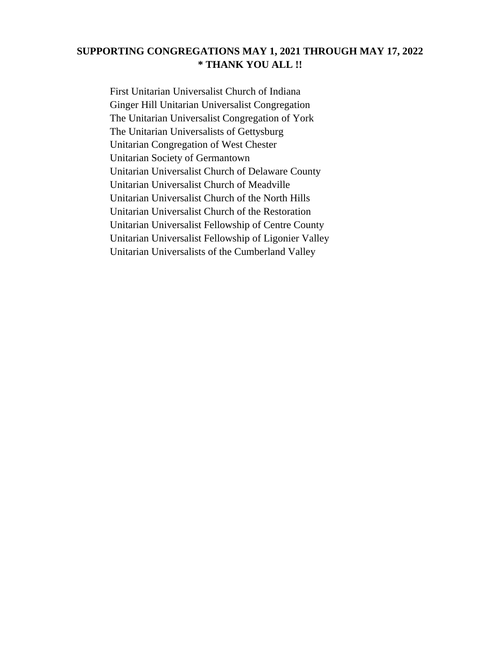## **SUPPORTING CONGREGATIONS MAY 1, 2021 THROUGH MAY 17, 2022 \* THANK YOU ALL !!**

First Unitarian Universalist Church of Indiana Ginger Hill Unitarian Universalist Congregation The Unitarian Universalist Congregation of York The Unitarian Universalists of Gettysburg Unitarian Congregation of West Chester Unitarian Society of Germantown Unitarian Universalist Church of Delaware County Unitarian Universalist Church of Meadville Unitarian Universalist Church of the North Hills Unitarian Universalist Church of the Restoration Unitarian Universalist Fellowship of Centre County Unitarian Universalist Fellowship of Ligonier Valley Unitarian Universalists of the Cumberland Valley